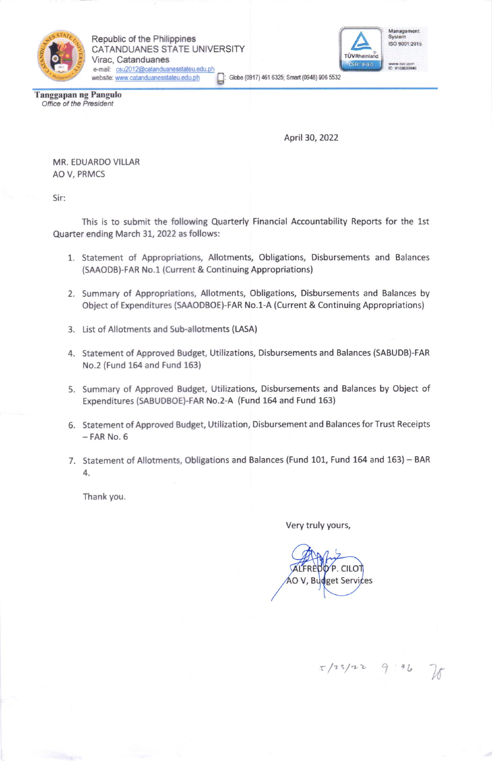

Republic of the Philippines CATANDUANES STATE UNIVERSITY Virac, Catanduanes e-mail: csu2012@catanduanesstateu.edu.ph website: www.catanduanesstateu.edu.ph



 $\Box$ : Globe (0917) 461 6325; Smart (0948) 906 5532

Tanggapan ng Pangulo Office of the President

April 30, 2022

MR. EDUARDO VILLAR AO V, PRMCS

Sir:

This is to submit the following Quarterly Financial Accountability Reports for the 1st Quarter ending March 31, 2022 as follows:

- 1. Statement of Appropriations, Allotments, Obligations, Disbursements and Balances (SAAODB)-FAR No.1 (Current & Continuing Appropriations)
- 2. Summary of Appropriations, Allotments, Obligations, Disbursements and Balances by Object of Expenditures (SAAODBOE)-FAR No.1-A (Current & Continuing Appropriations)
- 3. List of Allotments and Sub-allotments (LASA)
- 4. Statement of Approved Budget, Utilizations, Disbursements and Balances (SABUDB)-FAR No.2 (Fund 154 and Fund 163)
- 5. Summary of Approved Budget, Utilizations, Disbursements and Balances by Object of Expenditures (SABUDBOE)-FAR No.2-A (Fund 164 and Fund 163)
- 6. Statement of Approved Budget, Utilization, Disbursement and Balances for Trust Receipts  $-$  FAR No.  $6$
- 7. Statement of Allotments, Obligations and Balances (Fund 101, Fund 164 and 163) BAR 4

Thank you.

## Very truly yours,

R  $R_1$ get Services  $C \parallel C$ 

 $x/23/22$  9:36 76